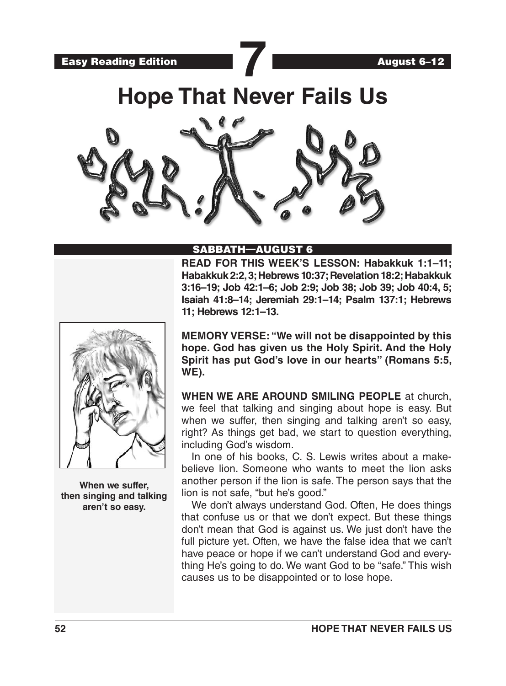



# **Hope That Never Fails Us**



### SABBATH—AUGUST 6

**READ FOR THIS WEEK'S LESSON: Habakkuk 1:1–11; Habakkuk 2:2, 3; Hebrews 10:37; Revelation 18:2; Habakkuk 3:16–19; Job 42:1–6; Job 2:9; Job 38; Job 39; Job 40:4, 5; Isaiah 41:8–14; Jeremiah 29:1–14; Psalm 137:1; Hebrews 11; Hebrews 12:1–13.** 



**When we suffer, then singing and talking aren't so easy.**

**MEMORY VERSE: "We will not be disappointed by this hope. God has given us the Holy Spirit. And the Holy Spirit has put God's love in our hearts" (Romans 5:5, WE).**

**WHEN WE ARE AROUND SMILING PEOPLE** at church, we feel that talking and singing about hope is easy. But when we suffer, then singing and talking aren't so easy, right? As things get bad, we start to question everything, including God's wisdom.

In one of his books, C. S. Lewis writes about a makebelieve lion. Someone who wants to meet the lion asks another person if the lion is safe. The person says that the lion is not safe, "but he's good."

We don't always understand God. Often, He does things that confuse us or that we don't expect. But these things don't mean that God is against us. We just don't have the full picture yet. Often, we have the false idea that we can't have peace or hope if we can't understand God and everything He's going to do. We want God to be "safe." This wish causes us to be disappointed or to lose hope.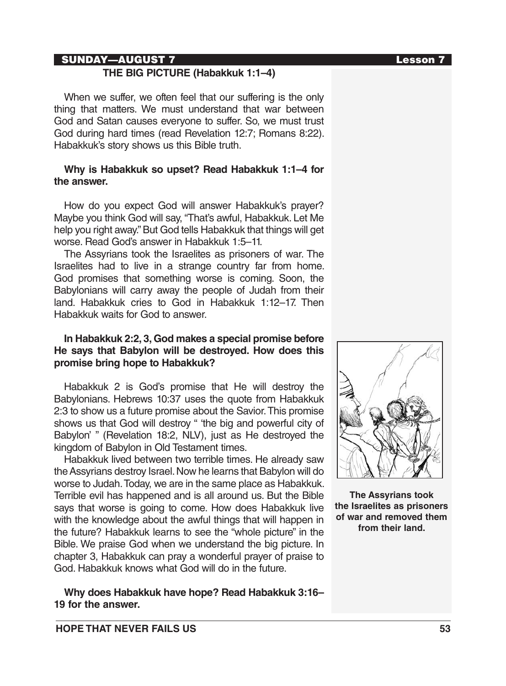#### SUNDAY—AUGUST 7 Lesson 7

#### **THE BIG PICTURE (Habakkuk 1:1–4)**

When we suffer, we often feel that our suffering is the only thing that matters. We must understand that war between God and Satan causes everyone to suffer. So, we must trust God during hard times (read Revelation 12:7; Romans 8:22). Habakkuk's story shows us this Bible truth.

#### **Why is Habakkuk so upset? Read Habakkuk 1:1–4 for the answer.**

How do you expect God will answer Habakkuk's prayer? Maybe you think God will say, "That's awful, Habakkuk. Let Me help you right away." But God tells Habakkuk that things will get worse. Read God's answer in Habakkuk 1:5–11.

The Assyrians took the Israelites as prisoners of war. The Israelites had to live in a strange country far from home. God promises that something worse is coming. Soon, the Babylonians will carry away the people of Judah from their land. Habakkuk cries to God in Habakkuk 1:12–17. Then Habakkuk waits for God to answer.

### **In Habakkuk 2:2, 3, God makes a special promise before He says that Babylon will be destroyed. How does this promise bring hope to Habakkuk?**

Habakkuk 2 is God's promise that He will destroy the Babylonians. Hebrews 10:37 uses the quote from Habakkuk 2:3 to show us a future promise about the Savior. This promise shows us that God will destroy " 'the big and powerful city of Babylon' " (Revelation 18:2, NLV), just as He destroyed the kingdom of Babylon in Old Testament times.

Habakkuk lived between two terrible times. He already saw the Assyrians destroy Israel. Now he learns that Babylon will do worse to Judah. Today, we are in the same place as Habakkuk. Terrible evil has happened and is all around us. But the Bible says that worse is going to come. How does Habakkuk live with the knowledge about the awful things that will happen in the future? Habakkuk learns to see the "whole picture" in the Bible. We praise God when we understand the big picture. In chapter 3, Habakkuk can pray a wonderful prayer of praise to God. Habakkuk knows what God will do in the future.

**Why does Habakkuk have hope? Read Habakkuk 3:16– 19 for the answer.** 



**The Assyrians took the Israelites as prisoners of war and removed them from their land.**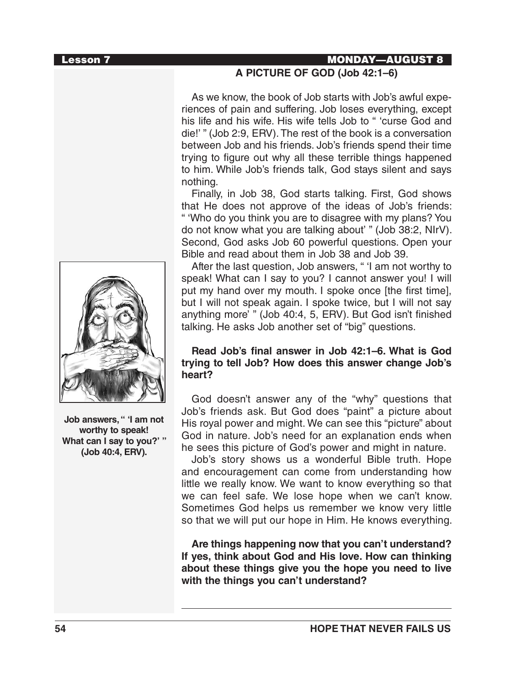

**Job answers, " 'I am not worthy to speak! What can I say to you?' " (Job 40:4, ERV).**

## Lesson 7 MONDAY—AUGUST 8

### **A PICTURE OF GOD (Job 42:1–6)**

As we know, the book of Job starts with Job's awful experiences of pain and suffering. Job loses everything, except his life and his wife. His wife tells Job to " 'curse God and die!' " (Job 2:9, ERV). The rest of the book is a conversation between Job and his friends. Job's friends spend their time trying to figure out why all these terrible things happened to him. While Job's friends talk, God stays silent and says nothing.

Finally, in Job 38, God starts talking. First, God shows that He does not approve of the ideas of Job's friends: " 'Who do you think you are to disagree with my plans? You do not know what you are talking about' " (Job 38:2, NIrV). Second, God asks Job 60 powerful questions. Open your Bible and read about them in Job 38 and Job 39.

After the last question, Job answers, " 'I am not worthy to speak! What can I say to you? I cannot answer you! I will put my hand over my mouth. I spoke once [the first time], but I will not speak again. I spoke twice, but I will not say anything more' " (Job 40:4, 5, ERV). But God isn't finished talking. He asks Job another set of "big" questions.

#### **Read Job's final answer in Job 42:1–6. What is God trying to tell Job? How does this answer change Job's heart?**

God doesn't answer any of the "why" questions that Job's friends ask. But God does "paint" a picture about His royal power and might. We can see this "picture" about God in nature. Job's need for an explanation ends when he sees this picture of God's power and might in nature.

Job's story shows us a wonderful Bible truth. Hope and encouragement can come from understanding how little we really know. We want to know everything so that we can feel safe. We lose hope when we can't know. Sometimes God helps us remember we know very little so that we will put our hope in Him. He knows everything.

**Are things happening now that you can't understand? If yes, think about God and His love. How can thinking about these things give you the hope you need to live with the things you can't understand?**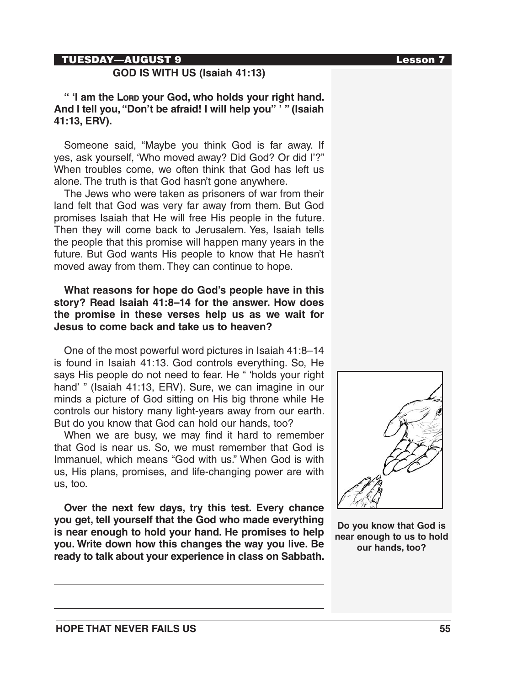#### TUESDAY—AUGUST 9 Lesson 7

### **GOD IS WITH US (Isaiah 41:13)**

**" 'I am the Lord your God, who holds your right hand. And I tell you, "Don't be afraid! I will help you" ' " (Isaiah 41:13, ERV).** 

Someone said, "Maybe you think God is far away. If yes, ask yourself, 'Who moved away? Did God? Or did I'?" When troubles come, we often think that God has left us alone. The truth is that God hasn't gone anywhere.

The Jews who were taken as prisoners of war from their land felt that God was very far away from them. But God promises Isaiah that He will free His people in the future. Then they will come back to Jerusalem. Yes, Isaiah tells the people that this promise will happen many years in the future. But God wants His people to know that He hasn't moved away from them. They can continue to hope.

#### **What reasons for hope do God's people have in this story? Read Isaiah 41:8–14 for the answer. How does the promise in these verses help us as we wait for Jesus to come back and take us to heaven?**

One of the most powerful word pictures in Isaiah 41:8–14 is found in Isaiah 41:13. God controls everything. So, He says His people do not need to fear. He " 'holds your right hand' " (Isaiah 41:13, ERV). Sure, we can imagine in our minds a picture of God sitting on His big throne while He controls our history many light-years away from our earth. But do you know that God can hold our hands, too?

When we are busy, we may find it hard to remember that God is near us. So, we must remember that God is Immanuel, which means "God with us." When God is with us, His plans, promises, and life-changing power are with us, too.

**Over the next few days, try this test. Every chance you get, tell yourself that the God who made everything is near enough to hold your hand. He promises to help you. Write down how this changes the way you live. Be ready to talk about your experience in class on Sabbath.** 



**Do you know that God is near enough to us to hold our hands, too?**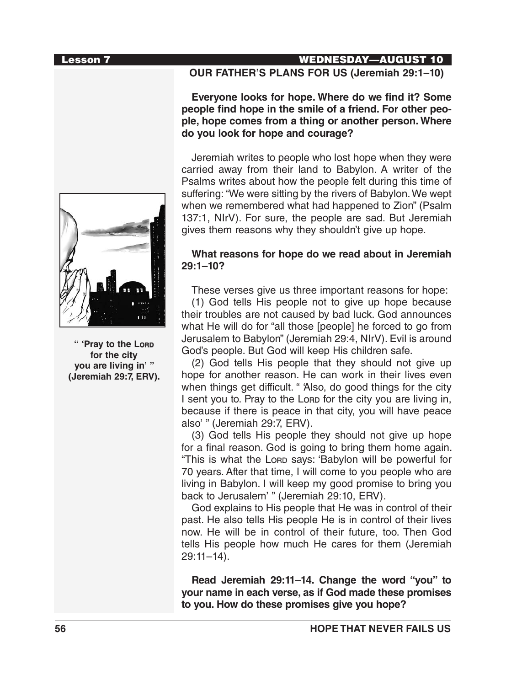

**" 'Pray to the Lord for the city you are living in' " (Jeremiah 29:7, ERV).**

### Lesson 7 WEDNESDAY—AUGUST 10

#### **OUR FATHER'S PLANS FOR US (Jeremiah 29:1–10)**

**Everyone looks for hope. Where do we find it? Some people find hope in the smile of a friend. For other people, hope comes from a thing or another person. Where do you look for hope and courage?**

Jeremiah writes to people who lost hope when they were carried away from their land to Babylon. A writer of the Psalms writes about how the people felt during this time of suffering: "We were sitting by the rivers of Babylon. We wept when we remembered what had happened to Zion" (Psalm 137:1, NIrV). For sure, the people are sad. But Jeremiah gives them reasons why they shouldn't give up hope.

#### **What reasons for hope do we read about in Jeremiah 29:1–10?**

These verses give us three important reasons for hope:

(1) God tells His people not to give up hope because their troubles are not caused by bad luck. God announces what He will do for "all those [people] he forced to go from Jerusalem to Babylon" (Jeremiah 29:4, NIrV). Evil is around God's people. But God will keep His children safe.

(2) God tells His people that they should not give up hope for another reason. He can work in their lives even when things get difficult. " Also, do good things for the city I sent you to. Pray to the Lore for the city you are living in, because if there is peace in that city, you will have peace also' " (Jeremiah 29:7, ERV).

(3) God tells His people they should not give up hope for a final reason. God is going to bring them home again. "This is what the Lond says: 'Babylon will be powerful for 70 years. After that time, I will come to you people who are living in Babylon. I will keep my good promise to bring you back to Jerusalem' " (Jeremiah 29:10, ERV).

God explains to His people that He was in control of their past. He also tells His people He is in control of their lives now. He will be in control of their future, too. Then God tells His people how much He cares for them (Jeremiah 29:11–14).

**Read Jeremiah 29:11–14. Change the word "you" to your name in each verse, as if God made these promises to you. How do these promises give you hope?**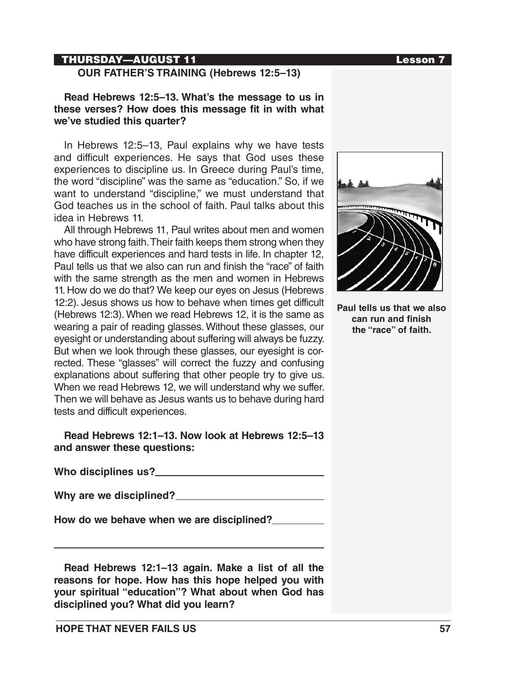### THURSDAY—AUGUST 11 Lesson 7

### **Read Hebrews 12:5–13. What's the message to us in these verses? How does this message fit in with what we've studied this quarter?**

In Hebrews 12:5–13, Paul explains why we have tests and difficult experiences. He says that God uses these experiences to discipline us. In Greece during Paul's time, the word "discipline" was the same as "education." So, if we want to understand "discipline," we must understand that God teaches us in the school of faith. Paul talks about this idea in Hebrews 11.

All through Hebrews 11, Paul writes about men and women who have strong faith. Their faith keeps them strong when they have difficult experiences and hard tests in life. In chapter 12, Paul tells us that we also can run and finish the "race" of faith with the same strength as the men and women in Hebrews 11. How do we do that? We keep our eyes on Jesus (Hebrews 12:2). Jesus shows us how to behave when times get difficult (Hebrews 12:3). When we read Hebrews 12, it is the same as wearing a pair of reading glasses. Without these glasses, our eyesight or understanding about suffering will always be fuzzy. But when we look through these glasses, our eyesight is corrected. These "glasses" will correct the fuzzy and confusing explanations about suffering that other people try to give us. When we read Hebrews 12, we will understand why we suffer. Then we will behave as Jesus wants us to behave during hard tests and difficult experiences.

**Read Hebrews 12:1–13. Now look at Hebrews 12:5–13 and answer these questions:**

**Who disciplines us?** 

**Why are we disciplined?** 

**How do we behave when we are disciplined?** 

**Read Hebrews 12:1–13 again. Make a list of all the reasons for hope. How has this hope helped you with your spiritual "education"? What about when God has disciplined you? What did you learn?**



**Paul tells us that we also can run and finish the "race" of faith.**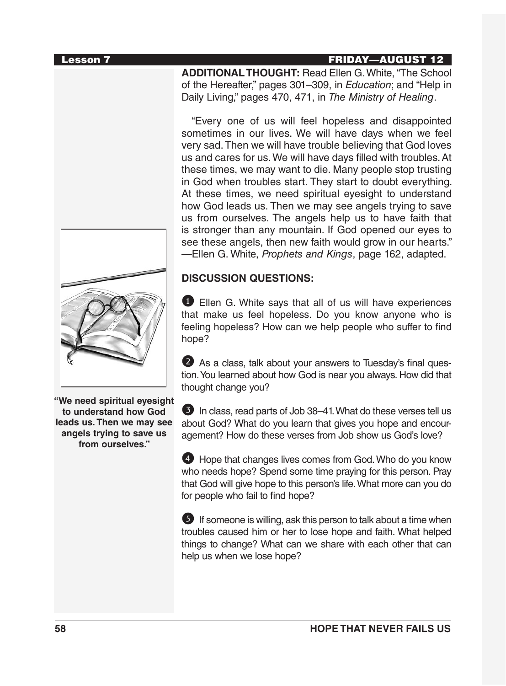#### Lesson 7 FRIDAY—AUGUST 12

**ADDITIONAL THOUGHT:** Read Ellen G. White, "The School of the Hereafter," pages 301–309, in *Education*; and "Help in Daily Living," pages 470, 471, in *The Ministry of Healing*.

"Every one of us will feel hopeless and disappointed sometimes in our lives. We will have days when we feel very sad. Then we will have trouble believing that God loves us and cares for us. We will have days filled with troubles. At these times, we may want to die. Many people stop trusting in God when troubles start. They start to doubt everything. At these times, we need spiritual eyesight to understand how God leads us. Then we may see angels trying to save us from ourselves. The angels help us to have faith that is stronger than any mountain. If God opened our eyes to see these angels, then new faith would grow in our hearts." —Ellen G. White, *Prophets and Kings*, page 162, adapted.

#### **DISCUSSION QUESTIONS:**

**1** Ellen G. White says that all of us will have experiences that make us feel hopeless. Do you know anyone who is feeling hopeless? How can we help people who suffer to find hope?

2 As a class, talk about your answers to Tuesday's final question. You learned about how God is near you always. How did that thought change you?

**3** In class, read parts of Job 38–41. What do these verses tell us about God? What do you learn that gives you hope and encouragement? How do these verses from Job show us God's love?

4 Hope that changes lives comes from God. Who do you know who needs hope? Spend some time praying for this person. Pray that God will give hope to this person's life. What more can you do for people who fail to find hope?

**5** If someone is willing, ask this person to talk about a time when troubles caused him or her to lose hope and faith. What helped things to change? What can we share with each other that can help us when we lose hope?



**"We need spiritual eyesight to understand how God leads us. Then we may see angels trying to save us from ourselves."**